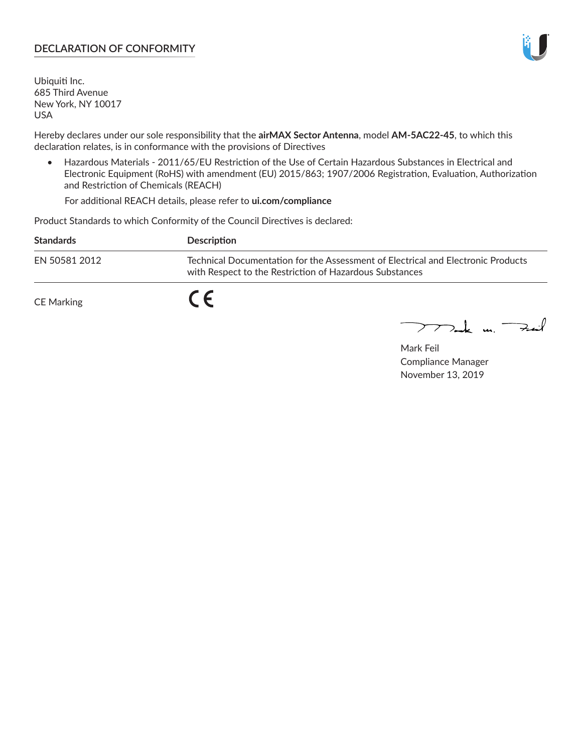## **DECLARATION OF CONFORMITY**

Ubiquiti Inc. 685 Third Avenue New York, NY 10017 USA

Hereby declares under our sole responsibility that the **airMAX Sector Antenna**, model **AM-5AC22-45**, to which this declaration relates, is in conformance with the provisions of Directives

• Hazardous Materials - 2011/65/EU Restriction of the Use of Certain Hazardous Substances in Electrical and Electronic Equipment (RoHS) with amendment (EU) 2015/863; 1907/2006 Registration, Evaluation, Authorization and Restriction of Chemicals (REACH)

For additional REACH details, please refer to **ui.com/compliance**

Product Standards to which Conformity of the Council Directives is declared:

| <b>Standards</b> | <b>Description</b>                                                                                                                          |
|------------------|---------------------------------------------------------------------------------------------------------------------------------------------|
| EN 50581 2012    | Technical Documentation for the Assessment of Electrical and Electronic Products<br>with Respect to the Restriction of Hazardous Substances |
| CE Marking       |                                                                                                                                             |

 $\sum_{n=1}^{\infty}$  un  $\sum_{n=1}^{\infty}$ 

Mark Feil Compliance Manager November 13, 2019

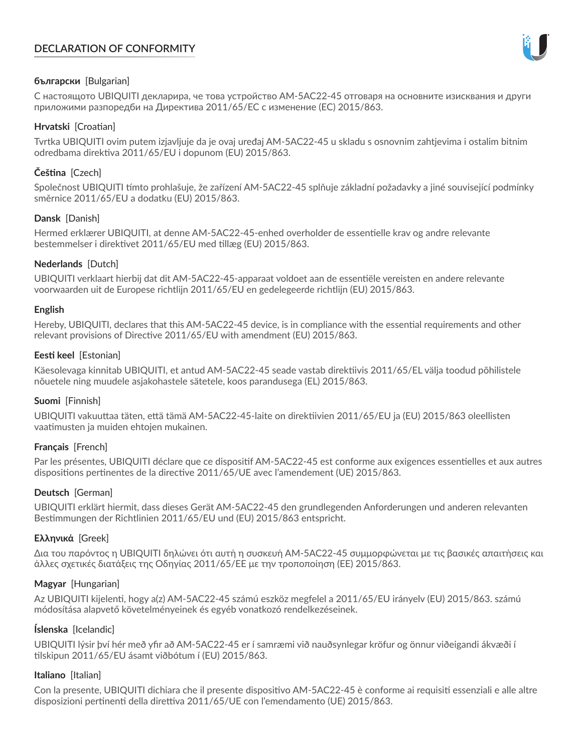# **DECLARATION OF CONFORMITY**



## **български** [Bulgarian]

С настоящото UBIQUITI декларира, че това устройство AM-5AC22-45 отговаря на основните изисквания и други приложими разпоредби на Директива 2011/65/ЕС с изменение (ЕС) 2015/863.

## **Hrvatski** [Croatian]

Tvrtka UBIQUITI ovim putem izjavljuje da je ovaj uređaj AM-5AC22-45 u skladu s osnovnim zahtjevima i ostalim bitnim odredbama direktiva 2011/65/EU i dopunom (EU) 2015/863.

# **Čeština** [Czech]

Společnost UBIQUITI tímto prohlašuje, že zařízení AM-5AC22-45 splňuje základní požadavky a jiné související podmínky směrnice 2011/65/EU a dodatku (EU) 2015/863.

### **Dansk** [Danish]

Hermed erklærer UBIQUITI, at denne AM-5AC22-45-enhed overholder de essentielle krav og andre relevante bestemmelser i direktivet 2011/65/EU med tillæg (EU) 2015/863.

### **Nederlands** [Dutch]

UBIQUITI verklaart hierbij dat dit AM-5AC22-45-apparaat voldoet aan de essentiële vereisten en andere relevante voorwaarden uit de Europese richtlijn 2011/65/EU en gedelegeerde richtlijn (EU) 2015/863.

#### **English**

Hereby, UBIQUITI, declares that this AM-5AC22-45 device, is in compliance with the essential requirements and other relevant provisions of Directive 2011/65/EU with amendment (EU) 2015/863.

### **Eesti keel** [Estonian]

Käesolevaga kinnitab UBIQUITI, et antud AM-5AC22-45 seade vastab direktiivis 2011/65/EL välja toodud põhilistele nõuetele ning muudele asjakohastele sätetele, koos parandusega (EL) 2015/863.

## **Suomi** [Finnish]

UBIQUITI vakuuttaa täten, että tämä AM-5AC22-45-laite on direktiivien 2011/65/EU ja (EU) 2015/863 oleellisten vaatimusten ja muiden ehtojen mukainen.

#### **Français** [French]

Par les présentes, UBIQUITI déclare que ce dispositif AM-5AC22-45 est conforme aux exigences essentielles et aux autres dispositions pertinentes de la directive 2011/65/UE avec l'amendement (UE) 2015/863.

## **Deutsch** [German]

UBIQUITI erklärt hiermit, dass dieses Gerät AM-5AC22-45 den grundlegenden Anforderungen und anderen relevanten Bestimmungen der Richtlinien 2011/65/EU und (EU) 2015/863 entspricht.

#### **Ελληνικά** [Greek]

Δια του παρόντος η UBIQUITI δηλώνει ότι αυτή η συσκευή AM-5AC22-45 συμμορφώνεται με τις βασικές απαιτήσεις και άλλες σχετικές διατάξεις της Οδηγίας 2011/65/ΕΕ με την τροποποίηση (ΕΕ) 2015/863.

## **Magyar** [Hungarian]

Az UBIQUITI kijelenti, hogy a(z) AM-5AC22-45 számú eszköz megfelel a 2011/65/EU irányelv (EU) 2015/863. számú módosítása alapvető követelményeinek és egyéb vonatkozó rendelkezéseinek.

#### **Íslenska** [Icelandic]

UBIQUITI lýsir því hér með yfir að AM-5AC22-45 er í samræmi við nauðsynlegar kröfur og önnur viðeigandi ákvæði í tilskipun 2011/65/EU ásamt viðbótum í (EU) 2015/863.

#### **Italiano** [Italian]

Con la presente, UBIQUITI dichiara che il presente dispositivo AM-5AC22-45 è conforme ai requisiti essenziali e alle altre disposizioni pertinenti della direttiva 2011/65/UE con l'emendamento (UE) 2015/863.